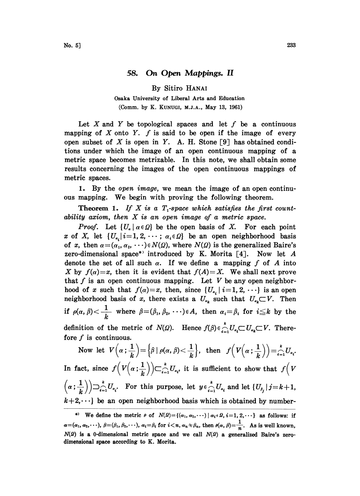# 58. On Open Mappings. II

By Sitiro HANAI

Osaka University of Liberal Arts and Education (Comm. by K. KUNUGI, M.J.A., May 13, 1961)

Let X and Y be topological spaces and let  $f$  be a continuous mapping of  $X$  onto  $Y$ .  $f$  is said to be open if the image of every open subset of X is open in Y. A. H. Stone [9] has obtained conditions under which the image of an open continuous mapping of a metric space becomes metrizable. In this note, we shall obtain some results concerning the images of the open continuous mappings of metric spaces.

1. By the open image, we mean the image of an open continuous mapping. We begin with proving the following theorem.

**Theorem 1.** If X is a  $T_1$ -space which satisfies the first countability axiom, then X is an open image of <sup>a</sup> metric space.

*Proof.* Let  $\{U_{\alpha} | \alpha \in \Omega\}$  be the open basis of X. For each point x of X, let  $\{U_{\alpha_i} | i=1, 2, \cdots; \alpha_i \in \Omega\}$  be an open neighborhood basis of x, then  $\alpha = (\alpha_1, \alpha_2, \cdots) \in N(\Omega)$ , where  $N(\Omega)$  is the generalized Baire's zero-dimensional space\*' introduced by K. Morita  $\lceil 4 \rceil$ . Now let A denote the set of all such  $\alpha$ . If we define a mapping f of A into X by  $f(\alpha)=x$ , then it is evident that  $f(A)=X$ . We shall next prove that f is an open continuous mapping. Let V be any open neighborhood of x such that  $f(\alpha)=x$ , then, since  $\{U_{\alpha_i} \mid i=1, 2, \cdots\}$  is an open neighborhood basis of x, there exists a  $U_{\alpha_k}$  such that  $U_{\alpha_k} \subset V$ . Then if  $\rho(\alpha, \beta) < \frac{1}{k}$  where  $\beta = (\beta_1, \beta_2, \dots) \in A$ , then  $\alpha_i = \beta_i$  for  $i \leq k$  by the definition of the metric of  $N(\Omega)$ . Hence  $f(\beta) \in \bigcap_{i=1}^k U_{\alpha_i} \subset U_{\alpha_k} \subset V$ . Therefore  $f$  is continuous.

Now let  $V\left(\alpha;\frac{1}{k}\right) = \left\{\beta \mid \rho(\alpha,\beta) < \frac{1}{k}\right\},\$  then  $f\left(V\left(\alpha;\frac{1}{k}\right)\right) = \sum_{i=1}^{k} U_{\alpha_i}.$ In fact, since  $f(V(\alpha;\frac{1}{k})) \subset_{i=1}^{k} U_{a_i}$ , it is sufficient to show that  $f(V)$ 

a - 1U.. For this purpose, let <sup>y</sup> <sup>e</sup> U. and let { <sup>U</sup> J-- <sup>k</sup> +1,  $k+2,\dots$ } be an open neighborhood basis which is obtained by number-

<sup>\*)</sup> We define the metric  $\rho$  of  $N(2) = \{(x_1, x_2, \dots) | x_i \in \mathcal{Q}, i=1, 2, \dots\}$  as follows: if  $\alpha = (\alpha_1, \alpha_2, \dots), \ \beta = (\beta_1, \beta_2, \dots), \ \alpha_i = \beta_i \text{ for } i < n, \ \alpha_n \neq \beta_n, \text{ then } \rho(\alpha, \beta) = \frac{1}{n}.$  As is well known,  $N(2)$  is a 0-dimensional metric space and we call  $N(2)$  a generalized Baire's zerodimensional space according to K. Morita.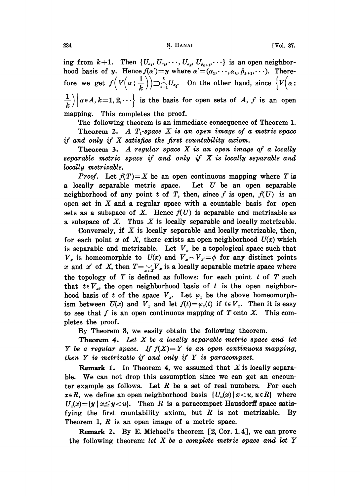## 234 **S. HANAI** S. HANAI [Vol. 37,

ing from  $k+1$ . Then  $\{U_{\alpha_1}, U_{\alpha_2}, \cdots, U_{\alpha_k}, U_{\beta_{k+1}}, \cdots\}$  is an open neighborhood basis of y. Hence  $f(\alpha')=y$  where  $\alpha'=(\alpha_1,\cdots,\alpha_k,\beta_{k+1},\cdots)$ . Therefore we get  $f\left(V\left(\alpha;\frac{1}{k}\right)\right) \supset_{i=1}^k U_{\alpha_i}$ . On the other hand, since  $\left\{V\left(\alpha;\frac{1}{k}\right)\right\}$  $\frac{1}{k}\bigg\vert \bigg\vert \alpha \in A, k=1,2,\cdots$  is the basis for open sets of A, f is an open

mapping. This completes the proof.

The following theorem is an immediate consequence of Theorem 1. Theorem 2. A  $T_1$ -space X is an open image of a metric space if and only if  $X$  satisfies the first countability axiom.

**Theorem 3.** A regular space  $X$  is an open image of a locally separable metric space if and only if  $X$  is locally separable and locally metrizable.

*Proof.* Let  $f(T)=X$  be an open continuous mapping where T is a locally separable metric space. Let  $U$  be an open separable neighborhood of any point t of T, then, since f is open,  $f(U)$  is an open set in  $X$  and a regular space with a countable basis for open sets as a subspace of X. Hence  $f(U)$  is separable and metrizable as a subspace of  $X$ . Thus  $X$  is locally separable and locally metrizable.

Conversely, if  $X$  is locally separable and locally metrizable, then, for each point x of X, there exists an open neighborhood  $U(x)$  which is separable and metrizable. Let  $V_x$  be a topological space such that  $V_x$  is homeomorphic to  $U(x)$  and  $V_x \sim V_{x'} = \phi$  for any distinct points x and x' of X, then  $T = \sum_{x \in X} V_x$  is a locally separable metric space where the topology of  $T$  is defined as follows: for each point  $t$  of  $T$  such that  $t \in V_x$ , the open neighborhood basis of t is the open neighborhood basis of t of the space  $V_x$ . Let  $\varphi_x$  be the above homeomorphism between  $U(x)$  and  $V_x$  and let  $f(t) = \varphi_x(t)$  if  $t \in V_x$ . Then it is easy to see that f is an open continuous mapping of T onto X. This completes the proof.

By Theorem 3, we easily obtain the following theorem.

**Theorem 4.** Let  $X$  be a locally separable metric space and let Y be a regular space. If  $f(X)=Y$  is an open continuous mapping, then  $Y$  is metrizable if and only if  $Y$  is paracompact.

Remark 1. In Theorem 4, we assumed that  $X$  is locally separable. We can not drop this assumption since we can get an encounter example as follows. Let  $R$  be a set of real numbers. For each  $x \in R$ , we define an open neighborhood basis  $\{U_n(x) | x \leq u, u \in R\}$  where  $U_n(x) = \{y \mid x \leq y < u\}.$  Then R is a paracompact Hausdorff space satisfying the first countability axiom, but  $R$  is not metrizable. By Theorem 1,  $R$  is an open image of a metric space.

Remark 2. By E. Michael's theorem  $\lceil 2, \text{Cor. } 1.4 \rceil$ , we can prove the following theorem: let  $X$  be a complete metric space and let  $Y$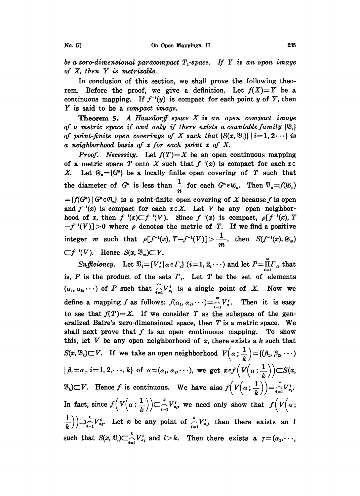be a zero-dimensional paracompact  $T_1$ -space. If Y is an open image of X, then Y is metrizable.

In conclusion of this section, we shall prove the following theorem. Before the proof, we give a definition. Let  $f(X)=Y$  be a continuous mapping. If  $f^{-1}(y)$  is compact for each point y of Y, then Y is said to be <sup>a</sup> compact image.

**Theorem 5.** A Hausdorff space  $X$  is an open compact image of a metric space if and only if there exists a countable family  $\{\mathfrak{B}_i\}$ of point-finite open coverings of X such that  $\{S(x, \mathcal{B}_i)\mid i=1, 2 \cdots\}$  is a neighborhood basis of x for each point x of X.

*Proof.* Necessity. Let  $f(T)=X$  be an open continuous mapping of a metric space T onto X such that  $f^{-1}(x)$  is compact for each  $x \in$ X. Let  $\mathfrak{G}_n = \{G^n\}$  be a locally finite open covering of T such that the diameter of  $G^n$  is less than  $\frac{1}{n}$  for each  $G^n \in \mathcal{G}_n$ . Then  $\mathcal{D}_n = f(\mathcal{G}_n)$  ${f(G<sup>n</sup> | G<sup>n</sup> \in \mathcal{G}<sub>n</sub>}$  is a point-finite open covering of X because f is open and  $f^{-1}(x)$  is compact for each  $x \in X$ . Let V be any open neighborhood of x, then  $f^{-1}(x) \subset f^{-1}(V)$ . Since  $f^{-1}(x)$  is compact,  $\rho[f^{-1}(x), T]$  $-f^{-1}(V)$  > 0 where  $\rho$  denotes the metric of T. If we find a positive integer m such that  $\rho[f^{-1}(x), T-f^{-1}(V)] > \frac{1}{m}$ , then  $S(f^{-1}(x), \mathbb{G}_m)$  $\subset f^{-1}(V)$ . Hence  $S(x, \mathfrak{B}_m) \subset V$ .

Sufficiency. Let  $\mathfrak{B}_i = \{V_a^i | a \in \Gamma_i\}$  (i=1, 2,  $\cdots$ ) and let  $P = \prod_{i=1}^{m} \Gamma_i$ , that is,  $P$  is the product of the sets  $\Gamma_i$ . Let  $T$  be the set of elements  $(\alpha_1, \alpha_2, \dots)$  of P such that  $\bigcap_{i=1}^{\infty} V_{\alpha_i}^i$  is a single point of X. Now we define a mapping f as follows:  $f(\alpha_1, \alpha_2, \cdots) = \bigcap_{i=1}^{\infty} V_i^i$ . Then it is easy to see that  $f(T)=X$ . If we consider T as the subspace of the generalized Baire's zero-dimensional space, then T is <sup>a</sup> metric space. We shall next prove that  $f$  is an open continuous mapping. To show this, let  $V$  be any open neighborhood of  $x$ , there exists a  $k$  such that  $S(x, \mathfrak{B}_k) \subset V$ . If we take an open neighborhood  $V(\alpha; \frac{1}{k}) = \{(\beta_1, \beta_2, \cdots)$  $\left(\beta_i=\alpha_i, i=1, 2, \cdots, k\right)$  of  $\alpha=(\alpha_1, \alpha_2, \cdots)$ , we get  $x \in f\left(V\left(\alpha; \frac{1}{k}\right)\right) \subset S(x, k)$  $\mathfrak{B}_{k}$ ) $\subset V$ . Hence f is continuous. We have also  $f(V(\alpha;\frac{1}{k})) = \int_{i=1}^{\infty} V_{\alpha,i}^{s}$ . In fact, since  $f(V(\alpha;\frac{1}{k}))\subset_{i=1}^k V_{\alpha,i}^i$ , we need only show that  $f(V(\alpha;\frac{1}{k}))$  $\left(\frac{1}{k}\right)\bigcup_{i=1}^{k}V_{a_{i}}^{i}$ . Let x be any point of  $\bigcap_{i=1}^{k}V_{a_{i}}^{i}$ , then there exists an l such that  $S(x, \mathfrak{B}_i) \subset_{i=1}^k V_{\alpha_i}^i$  and  $l > k$ . Then there exists a  $\gamma = (\alpha_1, \dots, \alpha_k)$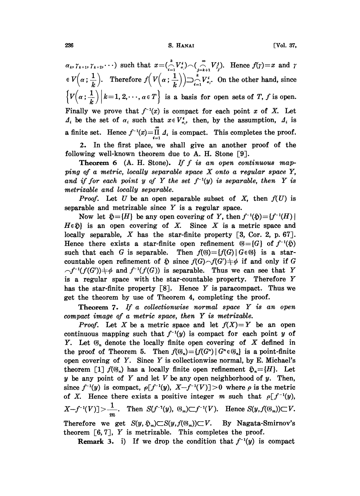### 236 S. HANAI [Vol. 37,

 $\alpha_k, \gamma_{k+1}, \gamma_{k+2}, \dots$  such that  $x = (\bigcap_{i=1}^{k} V_{\alpha_i}^*)$  $V(\alpha; \frac{1}{k}).$  Therefore  $f(V(\alpha; \frac{1}{k})) \supseteq_{i=1}^{N} V_{\alpha_{i}}^{i}$ . On the other hand, since  $\left\{V\left(\alpha;\frac{1}{k}\right)\middle| k=1,2,\cdots,\alpha\in T\right\}$  is a basis for open sets of T, f is open. Finally we prove that  $f^{-1}(x)$  is compact for each point x of X. Let  $\Lambda_i$  be the set of  $\alpha_i$  such that  $x \in V_{\alpha_i}^i$ , then, by the assumption,  $\Lambda_i$  is a finite set. Hence  $f^{-1}(x) = \prod_{i=1}^{n} A_i$  is compact. This completes the proof. 2. In the first place, we shall give an another proof of the

following well-known theorem due to A. H. Stone [9].

**Theorem 6** (A. H. Stone). If  $f$  is an open continuous mapping of a metric, locally separable space  $X$  onto a regular space  $Y$ , and if for each point y of Y the set  $f^{-1}(y)$  is separable, then Y is metrizable and locally separable.

*Proof.* Let U be an open separable subset of X, then  $f(U)$  is separable and metrizable since  $Y$  is a regular space.

Now let  $\mathfrak{H} = \{H\}$  be any open covering of Y, then  $f^{-1}(\mathfrak{H}) = \{f^{-1}(H) \mid$  $\mathfrak{D} = \{H\}$  be any open covering of Y, then f open covering of X. Since X is a meable, X has the star-finite property [3, exists a star-finite open refinement  $\mathfrak{S} =$  $H \in \mathfrak{H}$  is an open covering of X. Since X is a metric space and locally separable, X has the star-finite property  $[3, \text{Cor. 2, p. 67}].$ Hence there exists a star-finite open refinement  $\mathfrak{G} = \{G\}$  of  $f^{-1}(\mathfrak{H})$ such that each G is separable. Then  $f(\mathcal{G}) = \{f(G) | G \in \mathcal{G}\}\$  is a starcountable open refinement of  $\mathfrak{H}$  since  $f(G) \frown f(G') \neq \emptyset$  if and only if G  $\bigcap f^{-1}(f(G')) \neq \emptyset$  and  $f^{-1}(f(G))$  is separable. Thus we can see that Y is <sup>a</sup> regular space with the star-countable property. Therefore Y has the star-finite property  $\lceil 8 \rceil$ . Hence Y is paracompact. Thus we get the theorem by use of Theorem 4, completing the proof.

**Theorem 7.** If a collectionwise normal space  $Y$  is an open compact image of <sup>a</sup> metric space, then Y is metrizable.

*Proof.* Let X be a metric space and let  $f(X)=Y$  be an open continuous mapping such that  $f^{-1}(y)$  is compact for each point y of Y. Let  $\mathfrak{G}_n$  denote the locally finite open covering of X defined in the proof of Theorem 5. Then  $f(\mathcal{G}_n) = {f(G^n) | G^n \in \mathcal{G}_n}$  is a point-finite open covering of  $Y$ . Since  $Y$  is collectionwise normal, by E. Michael's theorem [1]  $f(\mathfrak{G}_n)$  has a locally finite open refinement  $\mathfrak{H}_n = \{H\}$ . Let  $y$  be any point of Y and let V be any open neighborhood of  $y$ . Then, since  $f^{-1}(y)$  is compact,  $\rho[f^{-1}(y), X-f^{-1}(V)]>0$  where  $\rho$  is the metric of X. Hence there exists a positive integer m such that  $\rho[f^{-1}(y)]$ ,  $X-f^{-1}(V)] > \frac{1}{m}$ . Then  $S(f^{-1}(y), \mathcal{G}_m) \subset f^{-1}(V)$ . Hence  $S(y, f(\mathcal{G}_m)) \subset V$ . Therefore we get  $S(y, \tilde{y}_m) \subset S(y, f(\mathcal{G}_m)) \subset V$ . By Nagata-Smirnov's theorem  $\lceil 6, 7 \rceil$ , Y is metrizable. This completes the proof.

**Remark 3.** i) If we drop the condition that  $f^{-1}(y)$  is compact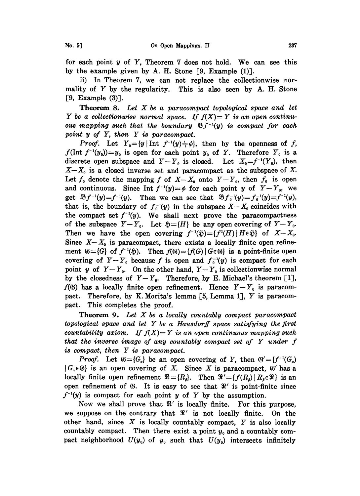for each point  $y$  of  $Y$ , Theorem 7 does not hold. We can see this by the example given by A. H. Stone  $[9, \text{Example (1)}].$ 

ii) In Theorem 7, we can not replace the collectionwise normality of  $Y$  by the regularity. This is also seen by  $A$ . H. Stone  $[9,$  Example  $(3)$ ].

**Theorem 8.** Let  $X$  be a paracompact topological space and let Y be a collectionwise normal space. If  $f(X) = Y$  is an open continuous mapping such that the boundary  $\mathfrak{B} f^{-1}(y)$  is compact for each point  $y$  of  $Y$ , then  $Y$  is paracompact.

*Proof.* Let  $Y_0=[y \mid \text{Int } f^{-1}(y) \neq \emptyset]$ , then by the openness of f,  $f(\text{Int } f^{-1}(y_0))=y_0$  is open for each point  $y_0$  of Y. Therefore  $Y_0$  is a discrete open subspace and  $Y-Y_0$  is closed. Let  $X_0=f^{-1}(Y_0)$ , then  $X-X_0$  is a closed inverse set and paracompact as the subspace of X. Let  $f_0$  denote the mapping f of  $X-X_0$  onto  $Y-Y_0$ , then  $f_0$  is open and continuous. Since Int  $f^{-1}(y)=\phi$  for each point y of  $Y-Y_0$ , we get  $\mathfrak{B}_f f^{-1}(y)=f^{-1}(y)$ . Then we can see that  $\mathfrak{B}_f f^{-1}(y)=f^{-1}(y)=f^{-1}(y)$ , that is, the boundary of  $f_0^{-1}(y)$  in the subspace  $X-X_0$  coincides with the compact set  $f^{-1}(y)$ . We shall next prove the paracompactness of the subspace  $Y-Y_0$ . Let  $\mathfrak{H}=\{H\}$  be any open covering of  $Y-Y_0$ . Then we have the open covering  $f^{-1}(\mathfrak{H}) = {f'(H) | H \in \mathfrak{H}}$  of  $X-X_0$ . Since  $X-X_0$  is paracompact, there exists a locally finite open refinement  $\mathfrak{G} = \{G\}$  of  $f^{-1}(\mathfrak{H})$ . Then  $f(\mathfrak{G}) = \{f(G) | G \in \mathfrak{G}\}\$ is a point-finite open covering of  $Y-Y_0$  because f is open and  $f_0^{-1}(y)$  is compact for each point y of  $Y-Y_0$ . On the other hand,  $Y-Y_0$  is collectionwise normal by the closedness of  $Y-Y_0$ . Therefore, by E. Michael's theorem [1],  $f(0)$  has a locally finite open refinement. Hence  $Y-Y_0$  is paracompact. Therefore, by K. Morita's lemma [5, Lemma 1], Y is paracompact. This completes the proof.

**Theorem 9.** Let  $X$  be a locally countably compact paracompact topological space and let Y be <sup>a</sup> Hausdorff space satisfying the first countability axiom. If  $f(X)=Y$  is an open continuous mapping such that the inverse image of any countably compact set of Y under f is compact, then Y is paracompact.

*Proof.* Let  $\mathfrak{G} = \{G_a\}$  be an open covering of Y, then  $\mathfrak{G}' = \{f^{-1}(G_a)\}$  $|G_{\alpha} \in \mathcal{G}|$  is an open covering of X. Since X is paracompact,  $\mathcal{G}'$  has a locally finite open refinement  $\Re = \{R_s\}$ . Then  $\Re' = \{f(R_s) | R_s \in \Re\}$  is an open refinement of  $\mathfrak{G}$ . It is easy to see that  $\mathfrak{R}'$  is point-finite since  $f^{-1}(y)$  is compact for each point y of Y by the assumption.

Now we shall prove that  $\mathcal{R}'$  is locally finite. For this purpose, we suppose on the contrary that  $\Re'$  is not locally finite. On the we suppose on the contrary that  $\pi$  is not locally influe. On the other hand, since  $X$  is locally countably compact,  $Y$  is also locally countably compact. Then there exist a point  $y_0$  and a countably compact neighborhood  $U(y_0)$  of  $y_0$  such that  $U(y_0)$  intersects infinitely